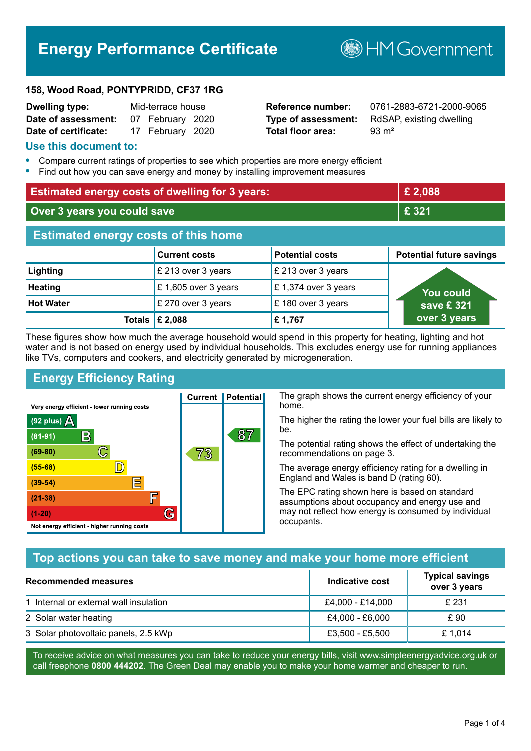# **Energy Performance Certificate**

**B**HM Government

#### **158, Wood Road, PONTYPRIDD, CF37 1RG**

| <b>Dwelling type:</b> | Mid-terrace house |                  |  |
|-----------------------|-------------------|------------------|--|
| Date of assessment:   |                   | 07 February 2020 |  |
| Date of certificate:  |                   | 17 February 2020 |  |

# **Total floor area:** 93 m<sup>2</sup>

**Reference number:** 0761-2883-6721-2000-9065 **Type of assessment:** RdSAP, existing dwelling

#### **Use this document to:**

- **•** Compare current ratings of properties to see which properties are more energy efficient
- **•** Find out how you can save energy and money by installing improvement measures

| <b>Estimated energy costs of dwelling for 3 years:</b> |                           |                        | £ 2,088                         |
|--------------------------------------------------------|---------------------------|------------------------|---------------------------------|
| Over 3 years you could save                            |                           | £ 321                  |                                 |
| <b>Estimated energy costs of this home</b>             |                           |                        |                                 |
|                                                        | <b>Current costs</b>      | <b>Potential costs</b> | <b>Potential future savings</b> |
| Lighting                                               | £ 213 over 3 years        | £ 213 over 3 years     |                                 |
| <b>Heating</b>                                         | £1,605 over 3 years       | £1,374 over 3 years    | <u>You could</u>                |
| <b>Hot Water</b>                                       | £ 270 over 3 years        | £180 over 3 years      | save £321                       |
|                                                        | Totals $\mathsf{E}$ 2,088 | £1,767                 | over 3 years                    |

These figures show how much the average household would spend in this property for heating, lighting and hot water and is not based on energy used by individual households. This excludes energy use for running appliances like TVs, computers and cookers, and electricity generated by microgeneration.

**Current | Potential** 

73

87

# **Energy Efficiency Rating**

 $\mathbb{C}$ 

 $\mathbb{D}$ 

E

庐

G

Very energy efficient - lower running costs

R

Not energy efficient - higher running costs

 $(92$  plus)

 $(81 - 91)$  $(69 - 80)$ 

 $(55-68)$ 

 $(39 - 54)$ 

 $(21-38)$ 

 $(1-20)$ 

- 78

The graph shows the current energy efficiency of your home.

The higher the rating the lower your fuel bills are likely to be.

The potential rating shows the effect of undertaking the recommendations on page 3.

The average energy efficiency rating for a dwelling in England and Wales is band D (rating 60).

The EPC rating shown here is based on standard assumptions about occupancy and energy use and may not reflect how energy is consumed by individual occupants.

# **Top actions you can take to save money and make your home more efficient**

| <b>Recommended measures</b>            | Indicative cost  | <b>Typical savings</b><br>over 3 years |
|----------------------------------------|------------------|----------------------------------------|
| 1 Internal or external wall insulation | £4,000 - £14,000 | £ 231                                  |
| 2 Solar water heating                  | £4,000 - £6,000  | £ 90                                   |
| 3 Solar photovoltaic panels, 2.5 kWp   | £3,500 - £5,500  | £1,014                                 |

To receive advice on what measures you can take to reduce your energy bills, visit www.simpleenergyadvice.org.uk or call freephone **0800 444202**. The Green Deal may enable you to make your home warmer and cheaper to run.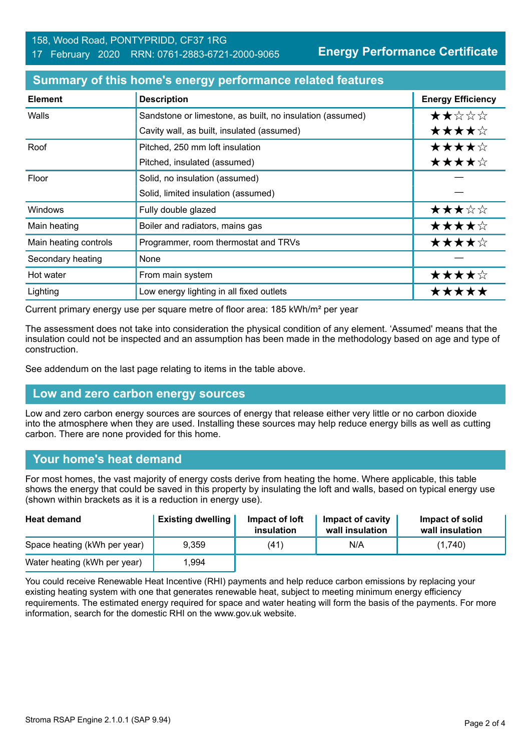**Energy Performance Certificate**

| <b>Element</b>        | <b>Description</b>                                        | <b>Energy Efficiency</b> |
|-----------------------|-----------------------------------------------------------|--------------------------|
| Walls                 | Sandstone or limestone, as built, no insulation (assumed) | ★★☆☆☆                    |
|                       | Cavity wall, as built, insulated (assumed)                | ★★★★☆                    |
| Roof                  | Pitched, 250 mm loft insulation                           | ★★★★☆                    |
|                       | Pitched, insulated (assumed)                              | ★★★★☆                    |
| Floor                 | Solid, no insulation (assumed)                            |                          |
|                       | Solid, limited insulation (assumed)                       |                          |
| <b>Windows</b>        | Fully double glazed                                       | ★★★☆☆                    |
| Main heating          | Boiler and radiators, mains gas                           | ★★★★☆                    |
| Main heating controls | Programmer, room thermostat and TRVs                      | ★★★★☆                    |
| Secondary heating     | None                                                      |                          |
| Hot water             | From main system                                          | ★★★★☆                    |
| Lighting              | Low energy lighting in all fixed outlets                  | *****                    |

#### **Summary of this home's energy performance related features**

Current primary energy use per square metre of floor area: 185 kWh/m² per year

The assessment does not take into consideration the physical condition of any element. 'Assumed' means that the insulation could not be inspected and an assumption has been made in the methodology based on age and type of construction.

See addendum on the last page relating to items in the table above.

#### **Low and zero carbon energy sources**

Low and zero carbon energy sources are sources of energy that release either very little or no carbon dioxide into the atmosphere when they are used. Installing these sources may help reduce energy bills as well as cutting carbon. There are none provided for this home.

#### **Your home's heat demand**

For most homes, the vast majority of energy costs derive from heating the home. Where applicable, this table shows the energy that could be saved in this property by insulating the loft and walls, based on typical energy use (shown within brackets as it is a reduction in energy use).

| <b>Heat demand</b>           | <b>Existing dwelling</b> | Impact of loft<br>insulation | Impact of cavity<br>wall insulation | Impact of solid<br>wall insulation |
|------------------------------|--------------------------|------------------------------|-------------------------------------|------------------------------------|
| Space heating (kWh per year) | 9.359                    | (41)                         | N/A                                 | (1,740)                            |
| Water heating (kWh per year) | 1.994                    |                              |                                     |                                    |

You could receive Renewable Heat Incentive (RHI) payments and help reduce carbon emissions by replacing your existing heating system with one that generates renewable heat, subject to meeting minimum energy efficiency requirements. The estimated energy required for space and water heating will form the basis of the payments. For more information, search for the domestic RHI on the www.gov.uk website.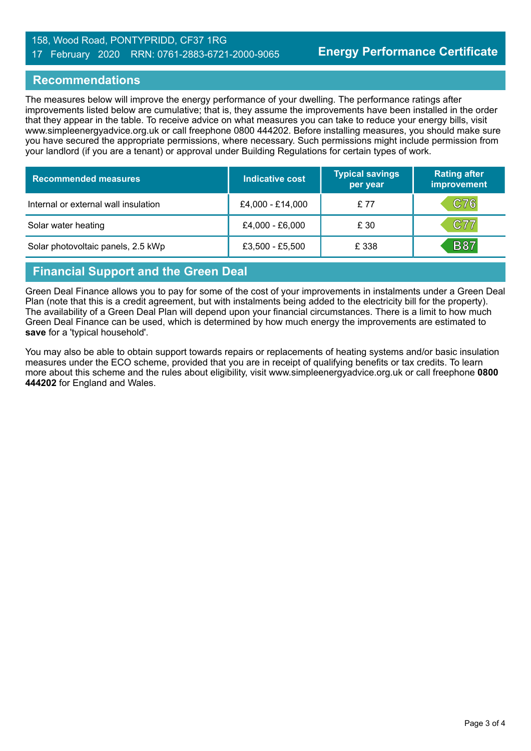#### 158, Wood Road, PONTYPRIDD, CF37 1RG 17 February 2020 RRN: 0761-2883-6721-2000-9065

#### **Recommendations**

The measures below will improve the energy performance of your dwelling. The performance ratings after improvements listed below are cumulative; that is, they assume the improvements have been installed in the order that they appear in the table. To receive advice on what measures you can take to reduce your energy bills, visit www.simpleenergyadvice.org.uk or call freephone 0800 444202. Before installing measures, you should make sure you have secured the appropriate permissions, where necessary. Such permissions might include permission from your landlord (if you are a tenant) or approval under Building Regulations for certain types of work.

| <b>Recommended measures</b>          | Indicative cost  | <b>Typical savings</b><br>per year | <b>Rating after</b><br>improvement |
|--------------------------------------|------------------|------------------------------------|------------------------------------|
| Internal or external wall insulation | £4,000 - £14,000 | £ 77                               | C76                                |
| Solar water heating                  | £4,000 - £6,000  | £ 30                               | C77                                |
| Solar photovoltaic panels, 2.5 kWp   | £3,500 - £5,500  | £ 338                              | <b>B87</b>                         |

# **Financial Support and the Green Deal**

Green Deal Finance allows you to pay for some of the cost of your improvements in instalments under a Green Deal Plan (note that this is a credit agreement, but with instalments being added to the electricity bill for the property). The availability of a Green Deal Plan will depend upon your financial circumstances. There is a limit to how much Green Deal Finance can be used, which is determined by how much energy the improvements are estimated to **save** for a 'typical household'.

You may also be able to obtain support towards repairs or replacements of heating systems and/or basic insulation measures under the ECO scheme, provided that you are in receipt of qualifying benefits or tax credits. To learn more about this scheme and the rules about eligibility, visit www.simpleenergyadvice.org.uk or call freephone **0800 444202** for England and Wales.